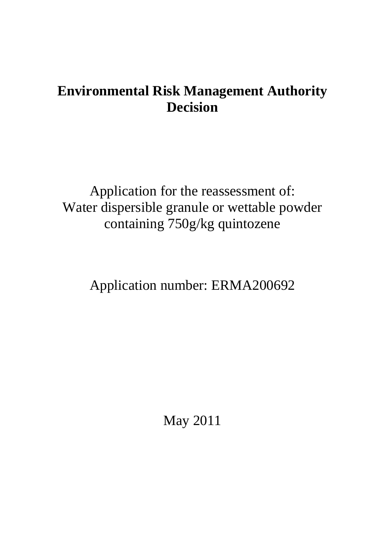# **Environmental Risk Management Authority Decision**

Application for the reassessment of: Water dispersible granule or wettable powder containing 750g/kg quintozene

Application number: ERMA200692

May 2011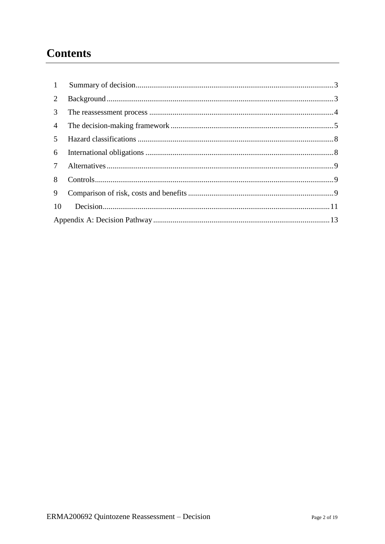# **Contents**

| 1              |  |  |  |
|----------------|--|--|--|
| 2              |  |  |  |
| 3              |  |  |  |
| $\overline{4}$ |  |  |  |
| 5              |  |  |  |
| 6              |  |  |  |
| 7              |  |  |  |
| 8              |  |  |  |
| 9              |  |  |  |
| <sup>10</sup>  |  |  |  |
|                |  |  |  |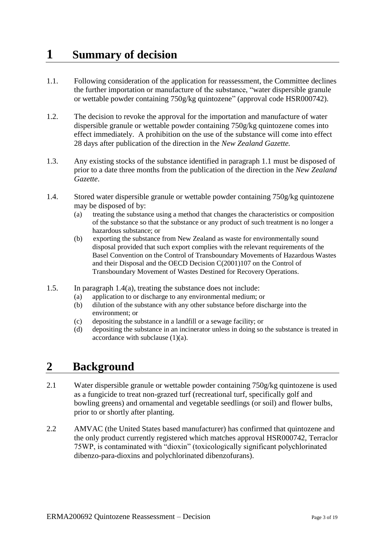# <span id="page-2-0"></span>**1 Summary of decision**

- 1.1. Following consideration of the application for reassessment, the Committee declines the further importation or manufacture of the substance, "water dispersible granule or wettable powder containing 750g/kg quintozene" (approval code HSR000742).
- 1.2. The decision to revoke the approval for the importation and manufacture of water dispersible granule or wettable powder containing 750g/kg quintozene comes into effect immediately. A prohibition on the use of the substance will come into effect 28 days after publication of the direction in the *New Zealand Gazette.*
- 1.3. Any existing stocks of the substance identified in paragraph 1.1 must be disposed of prior to a date three months from the publication of the direction in the *New Zealand Gazette*.
- 1.4. Stored water dispersible granule or wettable powder containing 750g/kg quintozene may be disposed of by:
	- (a) treating the substance using a method that changes the characteristics or composition of the substance so that the substance or any product of such treatment is no longer a hazardous substance; or
	- (b) exporting the substance from New Zealand as waste for environmentally sound disposal provided that such export complies with the relevant requirements of the Basel Convention on the Control of Transboundary Movements of Hazardous Wastes and their Disposal and the OECD Decision C(2001)107 on the Control of Transboundary Movement of Wastes Destined for Recovery Operations.
- 1.5. In paragraph 1.4(a), treating the substance does not include:
	- (a) application to or discharge to any environmental medium; or
	- (b) dilution of the substance with any other substance before discharge into the environment; or
	- (c) depositing the substance in a landfill or a sewage facility; or
	- (d) depositing the substance in an incinerator unless in doing so the substance is treated in accordance with subclause (1)(a).

## <span id="page-2-1"></span>**2 Background**

- 2.1 Water dispersible granule or wettable powder containing 750g/kg quintozene is used as a fungicide to treat non-grazed turf (recreational turf, specifically golf and bowling greens) and ornamental and vegetable seedlings (or soil) and flower bulbs, prior to or shortly after planting.
- <span id="page-2-2"></span>2.2 AMVAC (the United States based manufacturer) has confirmed that quintozene and the only product currently registered which matches approval HSR000742, Terraclor 75WP, is contaminated with "dioxin" (toxicologically significant polychlorinated dibenzo-para-dioxins and polychlorinated dibenzofurans).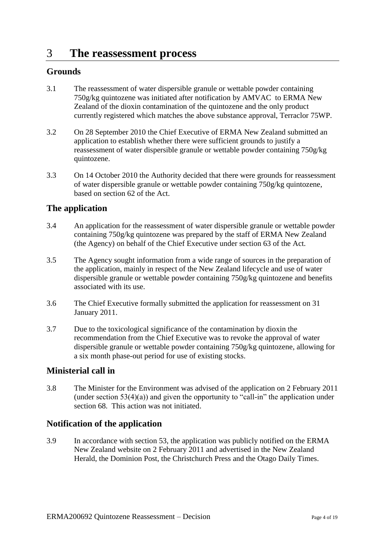## 3 **The reassessment process**

### **Grounds**

- 3.1 The reassessment of water dispersible granule or wettable powder containing 750g/kg quintozene was initiated after notification by AMVAC to ERMA New Zealand of the dioxin contamination of the quintozene and the only product currently registered which matches the above substance approval, Terraclor 75WP.
- 3.2 On 28 September 2010 the Chief Executive of ERMA New Zealand submitted an application to establish whether there were sufficient grounds to justify a reassessment of water dispersible granule or wettable powder containing 750g/kg quintozene.
- 3.3 On 14 October 2010 the Authority decided that there were grounds for reassessment of water dispersible granule or wettable powder containing 750g/kg quintozene, based on section 62 of the Act.

### **The application**

- 3.4 An application for the reassessment of water dispersible granule or wettable powder containing 750g/kg quintozene was prepared by the staff of ERMA New Zealand (the Agency) on behalf of the Chief Executive under section 63 of the Act.
- 3.5 The Agency sought information from a wide range of sources in the preparation of the application, mainly in respect of the New Zealand lifecycle and use of water dispersible granule or wettable powder containing 750g/kg quintozene and benefits associated with its use.
- 3.6 The Chief Executive formally submitted the application for reassessment on 31 January 2011.
- 3.7 Due to the toxicological significance of the contamination by dioxin the recommendation from the Chief Executive was to revoke the approval of water dispersible granule or wettable powder containing 750g/kg quintozene, allowing for a six month phase-out period for use of existing stocks.

### **Ministerial call in**

3.8 The Minister for the Environment was advised of the application on 2 February 2011 (under section  $53(4)(a)$ ) and given the opportunity to "call-in" the application under section 68. This action was not initiated.

### **Notification of the application**

3.9 In accordance with section 53, the application was publicly notified on the ERMA New Zealand website on 2 February 2011 and advertised in the New Zealand Herald, the Dominion Post, the Christchurch Press and the Otago Daily Times.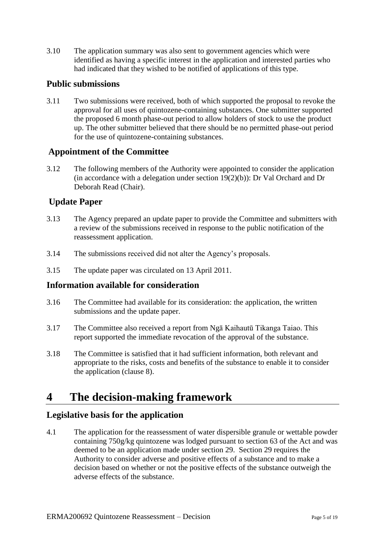3.10 The application summary was also sent to government agencies which were identified as having a specific interest in the application and interested parties who had indicated that they wished to be notified of applications of this type.

### **Public submissions**

3.11 Two submissions were received, both of which supported the proposal to revoke the approval for all uses of quintozene-containing substances. One submitter supported the proposed 6 month phase-out period to allow holders of stock to use the product up. The other submitter believed that there should be no permitted phase-out period for the use of quintozene-containing substances.

### **Appointment of the Committee**

3.12 The following members of the Authority were appointed to consider the application (in accordance with a delegation under section  $19(2)(b)$ ): Dr Val Orchard and Dr Deborah Read (Chair).

### **Update Paper**

- 3.13 The Agency prepared an update paper to provide the Committee and submitters with a review of the submissions received in response to the public notification of the reassessment application.
- 3.14 The submissions received did not alter the Agency"s proposals.
- 3.15 The update paper was circulated on 13 April 2011.

### **Information available for consideration**

- 3.16 The Committee had available for its consideration: the application, the written submissions and the update paper.
- 3.17 The Committee also received a report from Ngā Kaihautū Tikanga Taiao. This report supported the immediate revocation of the approval of the substance.
- 3.18 The Committee is satisfied that it had sufficient information, both relevant and appropriate to the risks, costs and benefits of the substance to enable it to consider the application (clause 8).

## <span id="page-4-0"></span>**4 The decision-making framework**

### **Legislative basis for the application**

4.1 The application for the reassessment of water dispersible granule or wettable powder containing 750g/kg quintozene was lodged pursuant to section 63 of the Act and was deemed to be an application made under section 29. Section 29 requires the Authority to consider adverse and positive effects of a substance and to make a decision based on whether or not the positive effects of the substance outweigh the adverse effects of the substance.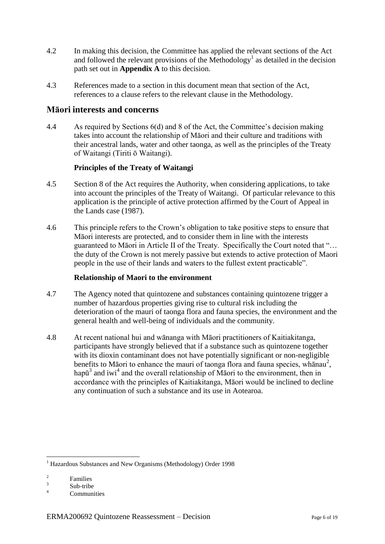- 4.2 In making this decision, the Committee has applied the relevant sections of the Act and followed the relevant provisions of the Methodology<sup>1</sup> as detailed in the decision path set out in **Appendix A** to this decision.
- 4.3 References made to a section in this document mean that section of the Act, references to a clause refers to the relevant clause in the Methodology.

### **Māori interests and concerns**

4.4 As required by Sections 6(d) and 8 of the Act, the Committee"s decision making takes into account the relationship of Māori and their culture and traditions with their ancestral lands, water and other taonga, as well as the principles of the Treaty of Waitangi (Tiriti ō Waitangi).

### **Principles of the Treaty of Waitangi**

- 4.5 Section 8 of the Act requires the Authority, when considering applications, to take into account the principles of the Treaty of Waitangi. Of particular relevance to this application is the principle of active protection affirmed by the Court of Appeal in the Lands case (1987).
- 4.6 This principle refers to the Crown"s obligation to take positive steps to ensure that Māori interests are protected, and to consider them in line with the interests guaranteed to Māori in Article II of the Treaty. Specifically the Court noted that "… the duty of the Crown is not merely passive but extends to active protection of Maori people in the use of their lands and waters to the fullest extent practicable".

#### **Relationship of Maori to the environment**

- 4.7 The Agency noted that quintozene and substances containing quintozene trigger a number of hazardous properties giving rise to cultural risk including the deterioration of the mauri of taonga flora and fauna species, the environment and the general health and well-being of individuals and the community.
- 4.8 At recent national hui and wānanga with Māori practitioners of Kaitiakitanga, participants have strongly believed that if a substance such as quintozene together with its dioxin contaminant does not have potentially significant or non-negligible benefits to Māori to enhance the mauri of taonga flora and fauna species, whanau<sup>2</sup>, hap $\bar{u}^3$  and iwi<sup>4</sup> and the overall relationship of Maori to the environment, then in accordance with the principles of Kaitiakitanga, Māori would be inclined to decline any continuation of such a substance and its use in Aotearoa.

<sup>&</sup>lt;u>.</u> <sup>1</sup> Hazardous Substances and New Organisms (Methodology) Order 1998

<sup>2</sup> Families

<sup>3</sup> Sub-tribe

<sup>4</sup> Communities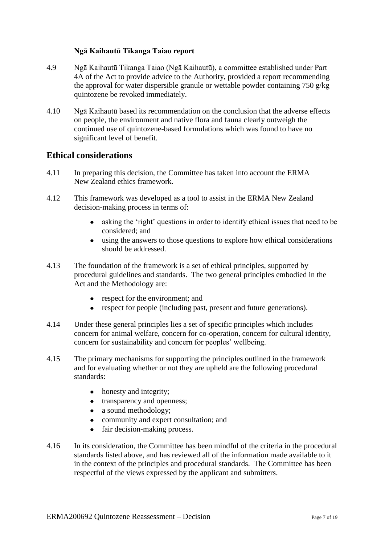### **Ngā Kaihautū Tikanga Taiao report**

- 4.9 Ngā Kaihautū Tikanga Taiao (Ngā Kaihautū), a committee established under Part 4A of the Act to provide advice to the Authority, provided a report recommending the approval for water dispersible granule or wettable powder containing 750 g/kg quintozene be revoked immediately.
- 4.10 Ngā Kaihautū based its recommendation on the conclusion that the adverse effects on people, the environment and native flora and fauna clearly outweigh the continued use of quintozene-based formulations which was found to have no significant level of benefit.

### **Ethical considerations**

- 4.11 In preparing this decision, the Committee has taken into account the ERMA New Zealand ethics framework.
- 4.12 This framework was developed as a tool to assist in the ERMA New Zealand decision-making process in terms of:
	- asking the "right" questions in order to identify ethical issues that need to be  $\bullet$ considered; and
	- $\bullet$ using the answers to those questions to explore how ethical considerations should be addressed.
- 4.13 The foundation of the framework is a set of ethical principles, supported by procedural guidelines and standards. The two general principles embodied in the Act and the Methodology are:
	- respect for the environment; and
	- respect for people (including past, present and future generations).
- 4.14 Under these general principles lies a set of specific principles which includes concern for animal welfare, concern for co-operation, concern for cultural identity, concern for sustainability and concern for peoples' wellbeing.
- 4.15 The primary mechanisms for supporting the principles outlined in the framework and for evaluating whether or not they are upheld are the following procedural standards:
	- honesty and integrity;
	- transparency and openness;
	- a sound methodology;
	- community and expert consultation; and
	- fair decision-making process.
- 4.16 In its consideration, the Committee has been mindful of the criteria in the procedural standards listed above, and has reviewed all of the information made available to it in the context of the principles and procedural standards. The Committee has been respectful of the views expressed by the applicant and submitters.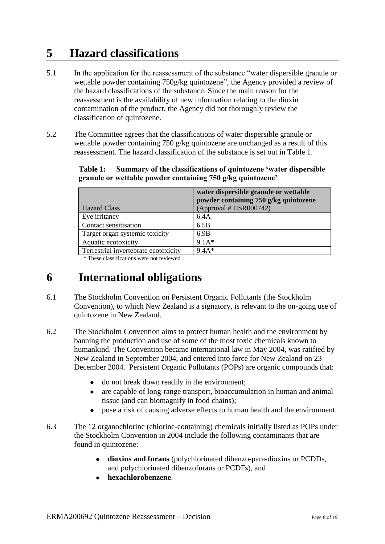## <span id="page-7-0"></span>**5 Hazard classifications**

- 5.1 In the application for the reassessment of the substance "water dispersible granule or wettable powder containing 750g/kg quintozene", the Agency provided a review of the hazard classifications of the substance. Since the main reason for the reassessment is the availability of new information relating to the dioxin contamination of the product, the Agency did not thoroughly review the classification of quintozene.
- 5.2 The Committee agrees that the classifications of water dispersible granule or wettable powder containing 750 g/kg quintozene are unchanged as a result of this reassessment. The hazard classification of the substance is set out in Table 1.

|                                      | water dispersible granule or wettable<br>powder containing 750 g/kg quintozene |
|--------------------------------------|--------------------------------------------------------------------------------|
| <b>Hazard Class</b>                  | (Approval # HSR000742)                                                         |
| Eye irritancy                        | 6.4A                                                                           |
| Contact sensitisation                | 6.5B                                                                           |
| Target organ systemic toxicity       | 6.9B                                                                           |
| Aquatic ecotoxicity                  | $9.1A*$                                                                        |
| Terrestrial invertebrate ecotoxicity | $9.4A*$                                                                        |

### **Table 1: Summary of the classifications of quintozene 'water dispersible granule or wettable powder containing 750 g/kg quintozene'**

\* These classifications were not reviewed

## <span id="page-7-1"></span>**6 International obligations**

- 6.1 The Stockholm Convention on Persistent Organic Pollutants (the Stockholm Convention), to which New Zealand is a signatory, is relevant to the on-going use of quintozene in New Zealand.
- 6.2 The Stockholm Convention aims to protect human health and the environment by banning the production and use of some of the most toxic chemicals known to humankind. The Convention became international law in May 2004, was ratified by New Zealand in September 2004, and entered into force for New Zealand on 23 December 2004. Persistent Organic Pollutants (POPs) are organic compounds that:
	- do not break down readily in the environment;  $\bullet$
	- are capable of long-range transport, bioaccumulation in human and animal  $\bullet$ tissue (and can biomagnify in food chains);
	- pose a risk of causing adverse effects to human health and the environment.  $\bullet$
- 6.3 The 12 organochlorine (chlorine-containing) chemicals initially listed as POPs under the Stockholm Convention in 2004 include the following contaminants that are found in quintozene:
	- **dioxins and furans** (polychlorinated dibenzo-para-dioxins or PCDDs, and polychlorinated dibenzofurans or PCDFs), and
	- **hexachlorobenzene**.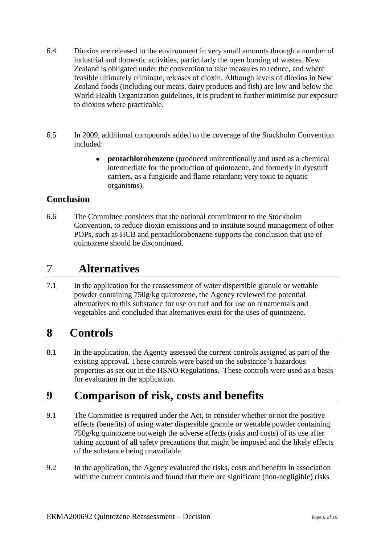- 6.4 Dioxins are released to the environment in very small amounts through a number of industrial and domestic activities, particularly the open burning of wastes. New Zealand is obligated under the convention to take measures to reduce, and where feasible ultimately eliminate, releases of dioxin. Although levels of dioxins in New Zealand foods (including our meats, dairy products and fish) are low and below the World Health Organization guidelines, it is prudent to further minimise our exposure to dioxins where practicable.
- 6.5 In 2009, additional compounds added to the coverage of the Stockholm Convention included:
	- **pentachlorobenzene** (produced unintentionally and used as a chemical  $\bullet$ intermediate for the production of quintozene, and formerly in dyestuff carriers, as a fungicide and flame retardant; very toxic to aquatic organisms).

### **Conclusion**

6.6 The Committee considers that the national commitment to the Stockholm Convention, to reduce dioxin emissions and to institute sound management of other POPs, such as HCB and pentachlorobenzene supports the conclusion that use of quintozene should be discontinued.

## <span id="page-8-0"></span>7 **Alternatives**

7.1 In the application for the reassessment of water dispersible granule or wettable powder containing 750g/kg quintozene, the Agency reviewed the potential alternatives to this substance for use on turf and for use on ornamentals and vegetables and concluded that alternatives exist for the uses of quintozene.

## <span id="page-8-1"></span>**8 Controls**

8.1 In the application, the Agency assessed the current controls assigned as part of the existing approval. These controls were based on the substance"s hazardous properties as set out in the HSNO Regulations. These controls were used as a basis for evaluation in the application.

## <span id="page-8-2"></span>**9 Comparison of risk, costs and benefits**

- 9.1 The Committee is required under the Act, to consider whether or not the positive effects (benefits) of using water dispersible granule or wettable powder containing 750g/kg quintozene outweigh the adverse effects (risks and costs) of its use after taking account of all safety precautions that might be imposed and the likely effects of the substance being unavailable.
- 9.2 In the application, the Agency evaluated the risks, costs and benefits in association with the current controls and found that there are significant (non-negligible) risks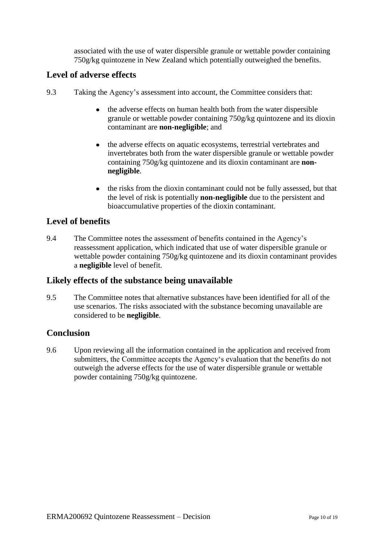associated with the use of water dispersible granule or wettable powder containing 750g/kg quintozene in New Zealand which potentially outweighed the benefits.

### **Level of adverse effects**

- 9.3 Taking the Agency"s assessment into account, the Committee considers that:
	- the adverse effects on human health both from the water dispersible  $\bullet$ granule or wettable powder containing 750g/kg quintozene and its dioxin contaminant are **non-negligible**; and
	- the adverse effects on aquatic ecosystems, terrestrial vertebrates and invertebrates both from the water dispersible granule or wettable powder containing 750g/kg quintozene and its dioxin contaminant are **nonnegligible**.
	- $\bullet$ the risks from the dioxin contaminant could not be fully assessed, but that the level of risk is potentially **non-negligible** due to the persistent and bioaccumulative properties of the dioxin contaminant.

### **Level of benefits**

9.4 The Committee notes the assessment of benefits contained in the Agency"s reassessment application, which indicated that use of water dispersible granule or wettable powder containing 750g/kg quintozene and its dioxin contaminant provides a **negligible** level of benefit.

### **Likely effects of the substance being unavailable**

9.5 The Committee notes that alternative substances have been identified for all of the use scenarios. The risks associated with the substance becoming unavailable are considered to be **negligible**.

### **Conclusion**

9.6 Upon reviewing all the information contained in the application and received from submitters, the Committee accepts the Agency"s evaluation that the benefits do not outweigh the adverse effects for the use of water dispersible granule or wettable powder containing 750g/kg quintozene.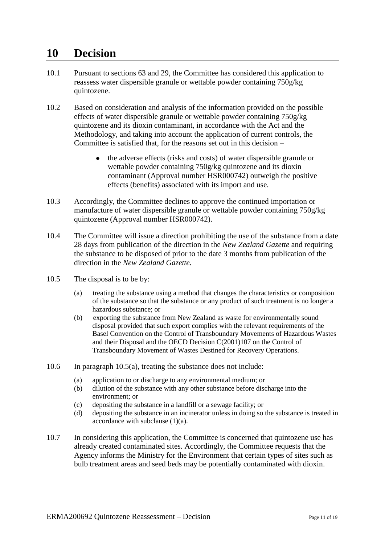## <span id="page-10-0"></span>**10 Decision**

- 10.1 Pursuant to sections 63 and 29, the Committee has considered this application to reassess water dispersible granule or wettable powder containing 750g/kg quintozene.
- 10.2 Based on consideration and analysis of the information provided on the possible effects of water dispersible granule or wettable powder containing 750g/kg quintozene and its dioxin contaminant, in accordance with the Act and the Methodology, and taking into account the application of current controls, the Committee is satisfied that, for the reasons set out in this decision –
	- the adverse effects (risks and costs) of water dispersible granule or wettable powder containing 750g/kg quintozene and its dioxin contaminant (Approval number HSR000742) outweigh the positive effects (benefits) associated with its import and use.
- 10.3 Accordingly, the Committee declines to approve the continued importation or manufacture of water dispersible granule or wettable powder containing 750g/kg quintozene (Approval number HSR000742).
- 10.4 The Committee will issue a direction prohibiting the use of the substance from a date 28 days from publication of the direction in the *New Zealand Gazette* and requiring the substance to be disposed of prior to the date 3 months from publication of the direction in the *New Zealand Gazette.*
- 10.5 The disposal is to be by:
	- (a) treating the substance using a method that changes the characteristics or composition of the substance so that the substance or any product of such treatment is no longer a hazardous substance; or
	- (b) exporting the substance from New Zealand as waste for environmentally sound disposal provided that such export complies with the relevant requirements of the Basel Convention on the Control of Transboundary Movements of Hazardous Wastes and their Disposal and the OECD Decision C(2001)107 on the Control of Transboundary Movement of Wastes Destined for Recovery Operations.
- 10.6 In paragraph 10.5(a), treating the substance does not include:
	- (a) application to or discharge to any environmental medium; or
	- (b) dilution of the substance with any other substance before discharge into the environment; or
	- (c) depositing the substance in a landfill or a sewage facility; or
	- (d) depositing the substance in an incinerator unless in doing so the substance is treated in accordance with subclause (1)(a).
- 10.7 In considering this application, the Committee is concerned that quintozene use has already created contaminated sites. Accordingly, the Committee requests that the Agency informs the Ministry for the Environment that certain types of sites such as bulb treatment areas and seed beds may be potentially contaminated with dioxin.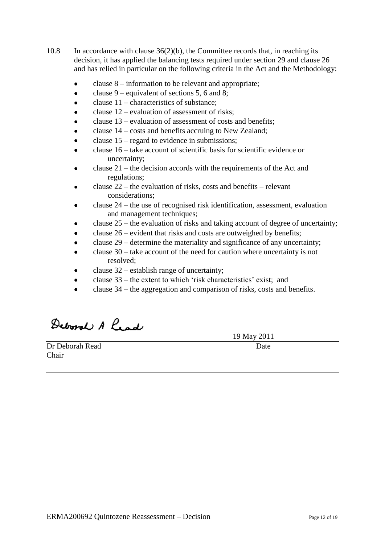- 10.8 In accordance with clause 36(2)(b), the Committee records that, in reaching its decision, it has applied the balancing tests required under section 29 and clause 26 and has relied in particular on the following criteria in the Act and the Methodology:
	- clause 8 information to be relevant and appropriate;
	- clause 9 equivalent of sections 5, 6 and 8;
	- clause 11 characteristics of substance;
	- clause 12 evaluation of assessment of risks;
	- clause 13 evaluation of assessment of costs and benefits;
	- clause 14 costs and benefits accruing to New Zealand;
	- clause 15 regard to evidence in submissions;
	- clause 16 take account of scientific basis for scientific evidence or uncertainty;
	- clause 21 the decision accords with the requirements of the Act and regulations;
	- clause 22 the evaluation of risks, costs and benefits relevant considerations;
	- clause 24 the use of recognised risk identification, assessment, evaluation and management techniques;
	- clause 25 the evaluation of risks and taking account of degree of uncertainty;
	- clause 26 evident that risks and costs are outweighed by benefits;
	- clause 29 determine the materiality and significance of any uncertainty;
	- clause 30 take account of the need for caution where uncertainty is not resolved;
	- clause 32 establish range of uncertainty;
	- clause 33 the extent to which "risk characteristics" exist; and
	- clause 34 the aggregation and comparison of risks, costs and benefits.

Deboral A Lead

<span id="page-11-0"></span>**Dr Deborah Read** Date Chair

19 May 2011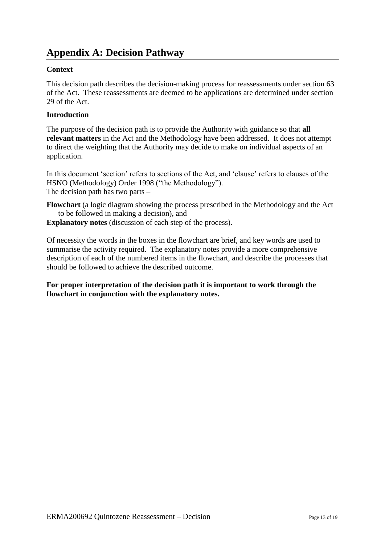## **Appendix A: Decision Pathway**

### **Context**

This decision path describes the decision-making process for reassessments under section 63 of the Act. These reassessments are deemed to be applications are determined under section 29 of the Act.

### **Introduction**

The purpose of the decision path is to provide the Authority with guidance so that **all relevant matters** in the Act and the Methodology have been addressed. It does not attempt to direct the weighting that the Authority may decide to make on individual aspects of an application.

In this document 'section' refers to sections of the Act, and 'clause' refers to clauses of the HSNO (Methodology) Order 1998 ("the Methodology"). The decision path has two parts –

**Flowchart** (a logic diagram showing the process prescribed in the Methodology and the Act to be followed in making a decision), and

**Explanatory notes** (discussion of each step of the process).

Of necessity the words in the boxes in the flowchart are brief, and key words are used to summarise the activity required. The explanatory notes provide a more comprehensive description of each of the numbered items in the flowchart, and describe the processes that should be followed to achieve the described outcome.

**For proper interpretation of the decision path it is important to work through the flowchart in conjunction with the explanatory notes.**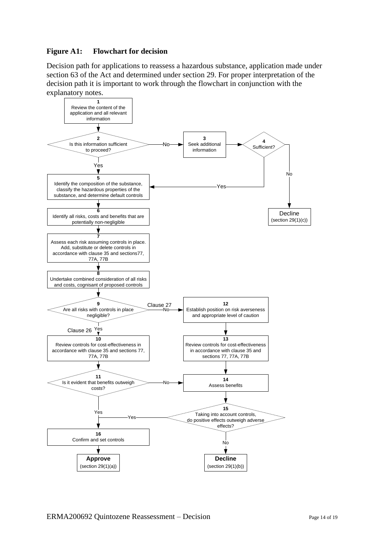### **Figure A1: Flowchart for decision**

Decision path for applications to reassess a hazardous substance, application made under section 63 of the Act and determined under section 29. For proper interpretation of the decision path it is important to work through the flowchart in conjunction with the explanatory notes.

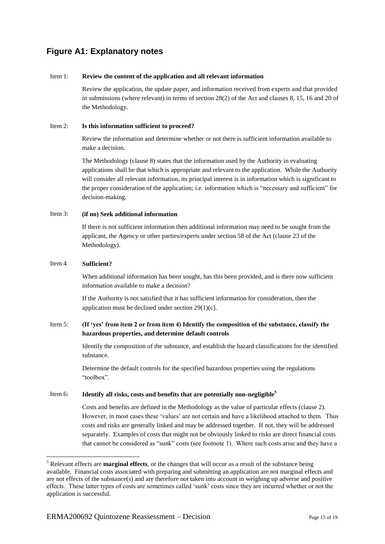### **Figure A1: Explanatory notes**

#### Item 1: **Review the content of the application and all relevant information**

Review the application, the update paper, and information received from experts and that provided in submissions (where relevant) in terms of section 28(2) of the Act and clauses 8, 15, 16 and 20 of the Methodology.

#### Item 2: **Is this information sufficient to proceed?**

Review the information and determine whether or not there is sufficient information available to make a decision.

The Methodology (clause 8) states that the information used by the Authority in evaluating applications shall be that which is appropriate and relevant to the application. While the Authority will consider all relevant information, its principal interest is in information which is significant to the proper consideration of the application; i.e. information which is "necessary and sufficient" for decision-making.

#### Item 3: **(if no) Seek additional information**

If there is not sufficient information then additional information may need to be sought from the applicant, the Agency or other parties/experts under section 58 of the Act (clause 23 of the Methodology).

#### Item 4 **Sufficient?**

<u>.</u>

When additional information has been sought, has this been provided, and is there now sufficient information available to make a decision?

If the Authority is not satisfied that it has sufficient information for consideration, then the application must be declined under section 29(1)(c).

#### Item 5: **(If 'yes' from item 2 or from item 4) Identify the composition of the substance, classify the hazardous properties, and determine default controls**

Identify the composition of the substance, and establish the hazard classifications for the identified substance.

Determine the default controls for the specified hazardous properties using the regulations "toolbox".

#### Item 6: **Identify all risks, costs and benefits that are potentially non-negligible<sup>5</sup>**

Costs and benefits are defined in the Methodology as the value of particular effects (clause 2). However, in most cases these "values" are not certain and have a likelihood attached to them. Thus costs and risks are generally linked and may be addressed together. If not, they will be addressed separately. Examples of costs that might not be obviously linked to risks are direct financial costs that cannot be considered as "sunk" costs (see footnote 1). Where such costs arise and they have a

<sup>5</sup> Relevant effects are **marginal effects**, or the changes that will occur as a result of the substance being available. Financial costs associated with preparing and submitting an application are not marginal effects and are not effects of the substance(s) and are therefore not taken into account in weighing up adverse and positive effects. These latter types of costs are sometimes called "sunk" costs since they are incurred whether or not the application is successful.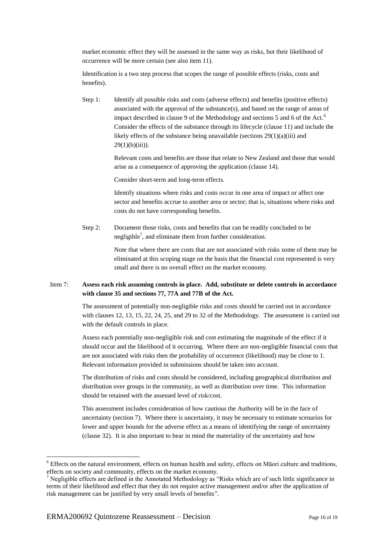market economic effect they will be assessed in the same way as risks, but their likelihood of occurrence will be more certain (see also item 11).

Identification is a two step process that scopes the range of possible effects (risks, costs and benefits).

Step 1: Identify all possible risks and costs (adverse effects) and benefits (positive effects) associated with the approval of the substance(s), and based on the range of areas of impact described in clause 9 of the Methodology and sections 5 and 6 of the Act.<sup>6.</sup> Consider the effects of the substance through its lifecycle (clause 11) and include the likely effects of the substance being unavailable (sections 29(1)(a)(iii) and  $29(1)(b)(iii)$ ).

> Relevant costs and benefits are those that relate to New Zealand and those that would arise as a consequence of approving the application (clause 14).

Consider short-term and long-term effects.

Identify situations where risks and costs occur in one area of impact or affect one sector and benefits accrue to another area or sector; that is, situations where risks and costs do not have corresponding benefits.

Step 2: Document those risks, costs and benefits that can be readily concluded to be negligible<sup>7</sup>, and eliminate them from further consideration.

> Note that where there are costs that are not associated with risks some of them may be eliminated at this scoping stage on the basis that the financial cost represented is very small and there is no overall effect on the market economy.

#### Item 7: **Assess each risk assuming controls in place. Add, substitute or delete controls in accordance with clause 35 and sections 77, 77A and 77B of the Act.**

The assessment of potentially non-negligible risks and costs should be carried out in accordance with clauses 12, 13, 15, 22, 24, 25, and 29 to 32 of the Methodology. The assessment is carried out with the default controls in place.

Assess each potentially non-negligible risk and cost estimating the magnitude of the effect if it should occur and the likelihood of it occurring. Where there are non-negligible financial costs that are not associated with risks then the probability of occurrence (likelihood) may be close to 1. Relevant information provided in submissions should be taken into account.

The distribution of risks and costs should be considered, including geographical distribution and distribution over groups in the community, as well as distribution over time. This information should be retained with the assessed level of risk/cost.

This assessment includes consideration of how cautious the Authority will be in the face of uncertainty (section 7). Where there is uncertainty, it may be necessary to estimate scenarios for lower and upper bounds for the adverse effect as a means of identifying the range of uncertainty (clause 32). It is also important to bear in mind the materiality of the uncertainty and how

<u>.</u>

<sup>6</sup> Effects on the natural environment, effects on human health and safety, effects on Māori culture and traditions, effects on society and community, effects on the market economy.

<sup>7</sup> Negligible effects are defined in the Annotated Methodology as "Risks which are of such little significance in terms of their likelihood and effect that they do not require active management and/or after the application of risk management can be justified by very small levels of benefits".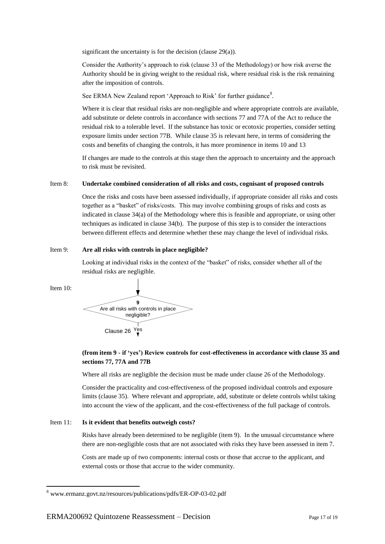significant the uncertainty is for the decision (clause 29(a)).

Consider the Authority"s approach to risk (clause 33 of the Methodology) or how risk averse the Authority should be in giving weight to the residual risk, where residual risk is the risk remaining after the imposition of controls.

See ERMA New Zealand report 'Approach to Risk' for further guidance<sup>8</sup>.

Where it is clear that residual risks are non-negligible and where appropriate controls are available, add substitute or delete controls in accordance with sections 77 and 77A of the Act to reduce the residual risk to a tolerable level. If the substance has toxic or ecotoxic properties, consider setting exposure limits under section 77B. While clause 35 is relevant here, in terms of considering the costs and benefits of changing the controls, it has more prominence in items 10 and 13

If changes are made to the controls at this stage then the approach to uncertainty and the approach to risk must be revisited.

#### Item 8: **Undertake combined consideration of all risks and costs, cognisant of proposed controls**

Once the risks and costs have been assessed individually, if appropriate consider all risks and costs together as a "basket" of risks/costs. This may involve combining groups of risks and costs as indicated in clause 34(a) of the Methodology where this is feasible and appropriate, or using other techniques as indicated in clause 34(b). The purpose of this step is to consider the interactions between different effects and determine whether these may change the level of individual risks.

#### Item 9: **Are all risks with controls in place negligible?**

Looking at individual risks in the context of the "basket" of risks, consider whether all of the residual risks are negligible.

Item 10:

1



#### **(from item 9 - if 'yes') Review controls for cost-effectiveness in accordance with clause 35 and sections 77, 77A and 77B**

Where all risks are negligible the decision must be made under clause 26 of the Methodology.

Consider the practicality and cost-effectiveness of the proposed individual controls and exposure limits (clause 35). Where relevant and appropriate, add, substitute or delete controls whilst taking into account the view of the applicant, and the cost-effectiveness of the full package of controls.

#### Item 11: **Is it evident that benefits outweigh costs?**

Risks have already been determined to be negligible (item 9). In the unusual circumstance where there are non-negligible costs that are not associated with risks they have been assessed in item 7.

Costs are made up of two components: internal costs or those that accrue to the applicant, and external costs or those that accrue to the wider community.

<sup>8</sup> [www.ermanz.govt.nz/resources/publications/pdfs/ER-OP-03-02.pdf](../../../AppData/Local/Microsoft/Windows/Temporary%20Internet%20Files/Documents%20and%20Settings/smiths/Users/Heather/AppData/Roaming/Microsoft/Word/www.ermanz.govt.nz/resources/publications/pdfs/ER-OP-03-02.pdf)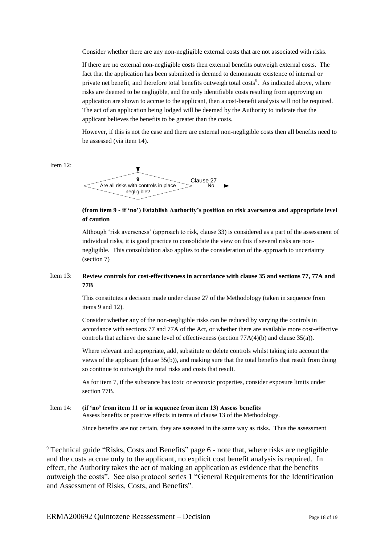Consider whether there are any non-negligible external costs that are not associated with risks.

If there are no external non-negligible costs then external benefits outweigh external costs. The fact that the application has been submitted is deemed to demonstrate existence of internal or private net benefit, and therefore total benefits outweigh total costs<sup>9</sup>. As indicated above, where risks are deemed to be negligible, and the only identifiable costs resulting from approving an application are shown to accrue to the applicant, then a cost-benefit analysis will not be required. The act of an application being lodged will be deemed by the Authority to indicate that the applicant believes the benefits to be greater than the costs.

However, if this is not the case and there are external non-negligible costs then all benefits need to be assessed (via item 14).



1



#### **(from item 9 - if 'no') Establish Authority's position on risk averseness and appropriate level of caution**

Although "risk averseness" (approach to risk, clause 33) is considered as a part of the assessment of individual risks, it is good practice to consolidate the view on this if several risks are nonnegligible. This consolidation also applies to the consideration of the approach to uncertainty (section 7)

#### Item 13: **Review controls for cost-effectiveness in accordance with clause 35 and sections 77, 77A and 77B**

This constitutes a decision made under clause 27 of the Methodology (taken in sequence from items 9 and 12).

Consider whether any of the non-negligible risks can be reduced by varying the controls in accordance with sections 77 and 77A of the Act, or whether there are available more cost-effective controls that achieve the same level of effectiveness (section 77A(4)(b) and clause 35(a)).

Where relevant and appropriate, add, substitute or delete controls whilst taking into account the views of the applicant (clause 35(b)), and making sure that the total benefits that result from doing so continue to outweigh the total risks and costs that result.

As for item 7, if the substance has toxic or ecotoxic properties, consider exposure limits under section 77B.

### Item 14: **(if 'no' from item 11 or in sequence from item 13) Assess benefits** Assess benefits or positive effects in terms of clause 13 of the Methodology. Since benefits are not certain, they are assessed in the same way as risks. Thus the assessment

<sup>9</sup> Technical guide "Risks, Costs and Benefits" page 6 - note that, where risks are negligible and the costs accrue only to the applicant, no explicit cost benefit analysis is required. In effect, the Authority takes the act of making an application as evidence that the benefits outweigh the costs". See also protocol series 1 "General Requirements for the Identification and Assessment of Risks, Costs, and Benefits".